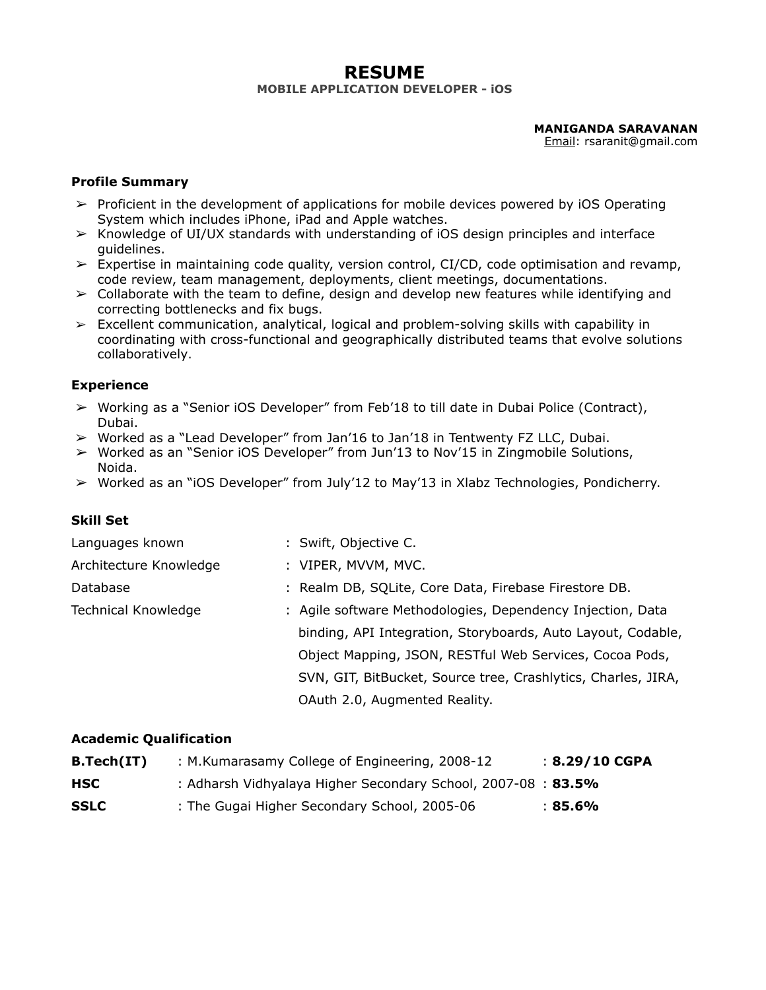## **RESUME MOBILE APPLICATION DEVELOPER - iOS**

**MANIGANDA SARAVANAN**

Email: rsaranit@gmail.com

#### **Profile Summary**

- $\triangleright$  Proficient in the development of applications for mobile devices powered by iOS Operating System which includes iPhone, iPad and Apple watches.
- $\triangleright$  Knowledge of UI/UX standards with understanding of iOS design principles and interface guidelines.
- $\triangleright$  Expertise in maintaining code quality, version control, CI/CD, code optimisation and revamp, code review, team management, deployments, client meetings, documentations.
- $\triangleright$  Collaborate with the team to define, design and develop new features while identifying and correcting bottlenecks and fix bugs.
- $\geq$  Excellent communication, analytical, logical and problem-solving skills with capability in coordinating with cross-functional and geographically distributed teams that evolve solutions collaboratively.

### **Experience**

- ➢ Working as a "Senior iOS Developer" from Feb'18 to till date in Dubai Police (Contract), Dubai.
- $\triangleright$  Worked as a "Lead Developer" from Jan'16 to Jan'18 in Tentwenty FZ LLC, Dubai.
- ➢ Worked as an "Senior iOS Developer" from Jun'13 to Nov'15 in Zingmobile Solutions, Noida.
- $\triangleright$  Worked as an "iOS Developer" from July'12 to May'13 in Xlabz Technologies, Pondicherry.

### **Skill Set**

| Languages known        | : Swift, Objective C.                                         |
|------------------------|---------------------------------------------------------------|
| Architecture Knowledge | : VIPER, MVVM, MVC.                                           |
| Database               | : Realm DB, SQLite, Core Data, Firebase Firestore DB.         |
| Technical Knowledge    | : Agile software Methodologies, Dependency Injection, Data    |
|                        | binding, API Integration, Storyboards, Auto Layout, Codable,  |
|                        | Object Mapping, JSON, RESTful Web Services, Cocoa Pods,       |
|                        | SVN, GIT, BitBucket, Source tree, Crashlytics, Charles, JIRA, |
|                        | OAuth 2.0, Augmented Reality.                                 |

#### **Academic Qualification**

| B.Tech(IT)  | : M.Kumarasamy College of Engineering, 2008-12                | $: 8.29/10$ CGPA |
|-------------|---------------------------------------------------------------|------------------|
| <b>HSC</b>  | : Adharsh Vidhyalaya Higher Secondary School, 2007-08 : 83.5% |                  |
| <b>SSLC</b> | : The Gugai Higher Secondary School, 2005-06                  | :85.6%           |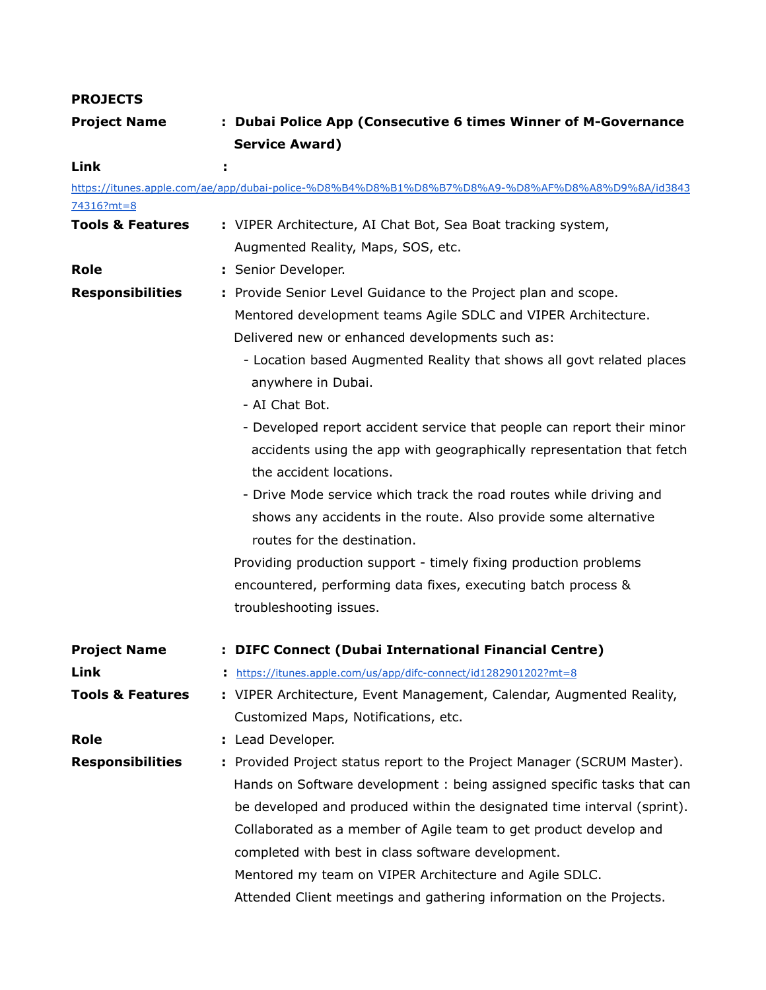# **PROJECTS**

| <b>Project Name</b>         | : Dubai Police App (Consecutive 6 times Winner of M-Governance                                  |
|-----------------------------|-------------------------------------------------------------------------------------------------|
|                             | <b>Service Award)</b>                                                                           |
| Link                        |                                                                                                 |
|                             | https://itunes.apple.com/ae/app/dubai-police-%D8%B4%D8%B1%D8%B7%D8%A9-%D8%AF%D8%A8%D9%8A/id3843 |
| $74316?mt = 8$              |                                                                                                 |
| <b>Tools &amp; Features</b> | : VIPER Architecture, AI Chat Bot, Sea Boat tracking system,                                    |
|                             | Augmented Reality, Maps, SOS, etc.                                                              |
| <b>Role</b>                 | : Senior Developer.                                                                             |
| <b>Responsibilities</b>     | : Provide Senior Level Guidance to the Project plan and scope.                                  |
|                             | Mentored development teams Agile SDLC and VIPER Architecture.                                   |
|                             | Delivered new or enhanced developments such as:                                                 |
|                             | - Location based Augmented Reality that shows all govt related places                           |
|                             | anywhere in Dubai.                                                                              |
|                             | - AI Chat Bot.                                                                                  |
|                             | - Developed report accident service that people can report their minor                          |
|                             |                                                                                                 |
|                             | accidents using the app with geographically representation that fetch                           |
|                             | the accident locations.                                                                         |
|                             | - Drive Mode service which track the road routes while driving and                              |
|                             | shows any accidents in the route. Also provide some alternative                                 |
|                             | routes for the destination.                                                                     |
|                             | Providing production support - timely fixing production problems                                |
|                             | encountered, performing data fixes, executing batch process &                                   |
|                             | troubleshooting issues.                                                                         |
| <b>Project Name</b>         | : DIFC Connect (Dubai International Financial Centre)                                           |
| Link                        | https://itunes.apple.com/us/app/difc-connect/id1282901202?mt=8                                  |
| <b>Tools &amp; Features</b> | : VIPER Architecture, Event Management, Calendar, Augmented Reality,                            |
|                             | Customized Maps, Notifications, etc.                                                            |
| <b>Role</b>                 | : Lead Developer.                                                                               |
| <b>Responsibilities</b>     | : Provided Project status report to the Project Manager (SCRUM Master).                         |
|                             | Hands on Software development: being assigned specific tasks that can                           |
|                             | be developed and produced within the designated time interval (sprint).                         |
|                             | Collaborated as a member of Agile team to get product develop and                               |
|                             |                                                                                                 |
|                             | completed with best in class software development.                                              |
|                             | Mentored my team on VIPER Architecture and Agile SDLC.                                          |
|                             | Attended Client meetings and gathering information on the Projects.                             |